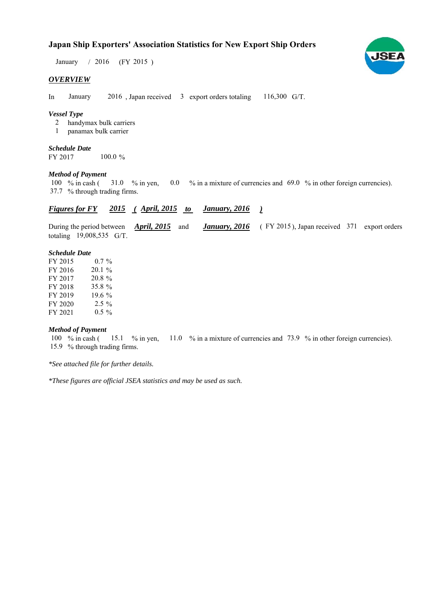# **Japan Ship Exporters' Association Statistics for New Export Ship Orders**

January / 2016 (FY 2015)

### *OVERVIEW*

In January 2016, Japan received  $\beta$  export orders totaling 116,300 G/T. January

### *Vessel Type*

- handymax bulk carriers 2
- panamax bulk carrier 1

#### *Schedule Date*

FY 2017 100.0 %

#### *Method of Payment*

% in cash ( $\frac{31.0}{8}$  in yen, 0.0 % in a mixture of currencies and 69.0 % in other foreign currencies). % through trading firms. 37.7 31.0 % in yen, 100  $%$  in cash (

#### *Figures for FY* 2015 (April, 2015 to January, 2016) *January, 2016*

During the period between *April, 2015* and *January, 2016* (FY 2015), Japan received 371 export orders totaling  $19,008,535$  G/T. During the period between *April, 2015* and

#### *Schedule Date*

| FY 2015 | $0.7\%$   |
|---------|-----------|
| FY 2016 | $20.1 \%$ |
| FY 2017 | 20.8 %    |
| FY 2018 | 35.8 %    |
| FY 2019 | 19.6%     |
| FY 2020 | $2.5\%$   |
| FY 2021 | $0.5 \%$  |

# *Method of Payment*

100 % in cash (15.1 % in yen, 11.0 % in a mixture of currencies and 73.9 % in other foreign currencies). 15.9 % through trading firms.

*\*See attached file for further details.*

*\*These figures are official JSEA statistics and may be used as such.*

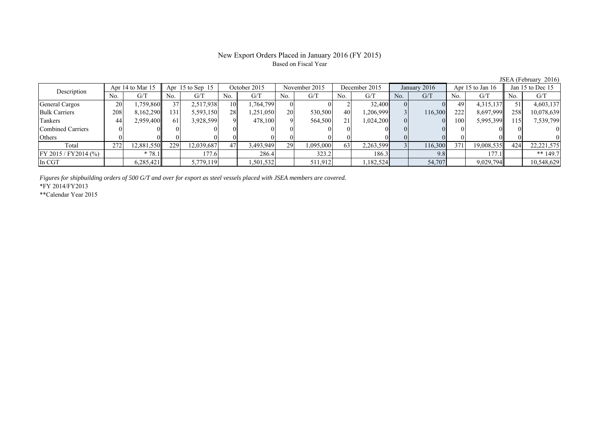# New Export Orders Placed in January 2016 (FY 2015) Based on Fiscal Year

JSEA (February 2016)

| Description              | Apr 14 to Mar 15 |            | Apr $15$ to Sep $15$ |            | October 2015 |           | November 2015 |           | December 2015 |           | January 2016 |         | Apr 15 to Jan 16 |            | Jan 15 to Dec 15 |              |
|--------------------------|------------------|------------|----------------------|------------|--------------|-----------|---------------|-----------|---------------|-----------|--------------|---------|------------------|------------|------------------|--------------|
|                          | No.              | G/T        | No.                  | G/T        | No.          | G/T       | No.           | G/T       | No.           | G/T       | No.          | G/T     | No.              | G/T        | No.              | G/T          |
| General Cargos           | 20               | .759,860II | 37                   | 2,517,938  | 10           | .764,799  |               |           |               | 32,400    |              |         | 49               | 4,315,137  |                  | 4,603,137    |
| <b>Bulk Carriers</b>     | 208              | 8,162,290  | 131                  | 5,593,150  | 28           | .251,050  | <b>20</b>     | 530,500   | 40            | 1,206,999 |              | 116,300 | 222              | 8,697,999  | 258              | 10,078,639   |
| Tankers                  | 44               | 2,959,400  | 61                   | 3,928,599  |              | 478,100   |               | 564,500   | 21            | 1,024,200 |              |         | 100              | 5,995,399  | 115              | 7,539,799    |
| <b>Combined Carriers</b> |                  |            |                      |            |              |           |               |           |               |           |              |         |                  |            |                  |              |
| Others                   |                  |            |                      |            |              |           |               |           |               |           |              |         |                  |            |                  |              |
| Total                    | 272              | 12,881,550 | 229                  | 12,039,687 | 47           | 3,493,949 | 29            | 1,095,000 | 63            | 2,263,599 |              | 116,300 | 371              | 19,008,535 | 424              | 22, 221, 575 |
| FY 2015 / FY 2014 (%)    |                  | $*78.1$    |                      | 177.6      |              | 286.4     |               | 323.2     |               | 186.3     |              | 9.8     |                  | 177.1      |                  | ** $149.7$   |
| In CGT                   |                  | 6,285,421  |                      | 5,779,119  |              | ,501,532  |               | 511,912   |               | 1,182,524 |              | 54,707  |                  | 9,029,794  |                  | 10,548,629   |

*Figures for shipbuilding orders of 500 G/T and over for export as steel vessels placed with JSEA members are covered.*

\*FY 2014/FY2013

\*\*Calendar Year 2015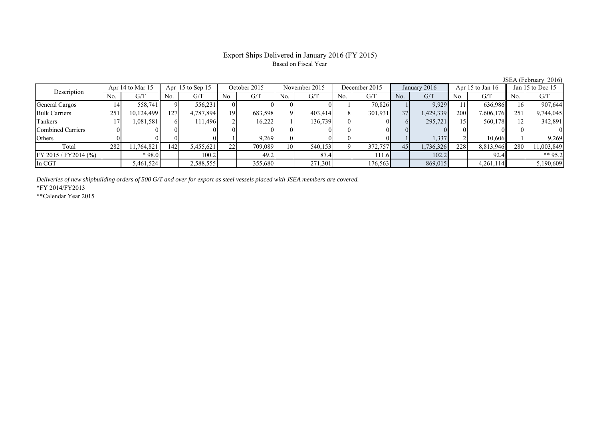# Export Ships Delivered in January 2016 (FY 2015) Based on Fiscal Year

| Description           |     | Apr 14 to Mar 15 |     | Apr $15$ to Sep 15 |                 | October 2015 |              | November 2015 |     | December 2015 |     | January 2016 |     | Apr $15$ to Jan $16$ |     | Jan 15 to Dec 15 |
|-----------------------|-----|------------------|-----|--------------------|-----------------|--------------|--------------|---------------|-----|---------------|-----|--------------|-----|----------------------|-----|------------------|
|                       | No. | G/T              | No. | G/T                | No.             | G/T          | No.          | G/T           | No. | G/T           | No. | G/T          | No. | G/T                  | No. | G/T              |
| General Cargos        | 14  | 558,741          |     | 556,231            |                 |              | OI           |               |     | 70,826        |     | 9,929        |     | 636,986              |     | 907,644          |
| <b>Bulk Carriers</b>  | 251 | 10,124,499       | 127 | 4,787,894          | 19 <sub>1</sub> | 683,598      | <sup>Q</sup> | 403,414       |     | 301,931       | 37  | 1,429,339    | 200 | 7,606,176            | 251 | 9,744,045        |
| Tankers               |     | 1,081,581        |     | 111.496            |                 | 16.222       |              | 136,739       |     |               | 61  | 295.721      |     | 560,178              |     | 342,891          |
| Combined Carriers     |     |                  |     |                    |                 |              |              |               |     |               |     |              |     |                      |     |                  |
| Others                |     |                  |     |                    |                 | 9.269        |              |               |     |               |     | 1,337        |     | 10.606               |     | 9,269            |
| Total                 | 282 | 11,764,821       | 142 | 5,455,621          | 22              | 709,089      | 10           | 540,153       |     | 372,757       | 45  | 1,736,326    | 228 | 8,813,946            | 280 | 11,003,849       |
| FY 2015 / FY 2014 (%) |     | $*98.0$          |     | 100.2              |                 | 49.2         |              | 87.4          |     | 111.6         |     | 102.2        |     | 92.4                 |     | ** $95.2$        |
| In CGT                |     | 5,461,524        |     | 2,588,555          |                 | 355,680      |              | 271,301       |     | 176,563       |     | 869,015      |     | 4,261,114            |     | 5,190,609        |

*Deliveries of new shipbuilding orders of 500 G/T and over for export as steel vessels placed with JSEA members are covered.*

\*FY 2014/FY2013

\*\*Calendar Year 2015

JSEA (February 2016)